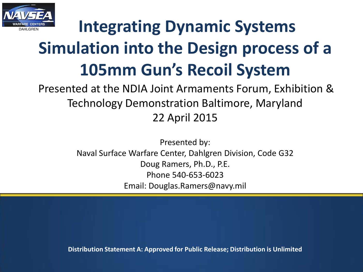

# **Integrating Dynamic Systems Simulation into the Design process of a 105mm Gun's Recoil System**

Presented at the NDIA Joint Armaments Forum, Exhibition & Technology Demonstration Baltimore, Maryland 22 April 2015

> Presented by: Naval Surface Warfare Center, Dahlgren Division, Code G32 Doug Ramers, Ph.D., P.E. Phone 540-653-6023 Email: Douglas.Ramers@navy.mil

**Distribution Statement A: Approved for Public Release; Distribution is Unlimited**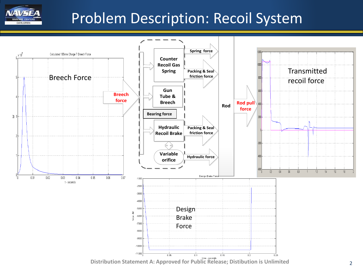

## Problem Description: Recoil System

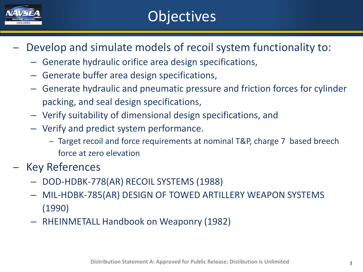

# **Objectives**

- Develop and simulate models of recoil system functionality to:
	- Generate hydraulic orifice area design specifications,
	- Generate buffer area design specifications,
	- Generate hydraulic and pneumatic pressure and friction forces for cylinder packing, and seal design specifications,
	- Verify suitability of dimensional design specifications, and
	- Verify and predict system performance.
		- ‒ Target recoil and force requirements at nominal T&P, charge 7 based breech force at zero elevation
- ‒ Key References
	- DOD-HDBK-778(AR) RECOIL SYSTEMS (1988)
	- MIL-HDBK-785(AR) DESIGN OF TOWED ARTILLERY WEAPON SYSTEMS (1990)
	- RHEINMETALL Handbook on Weaponry (1982)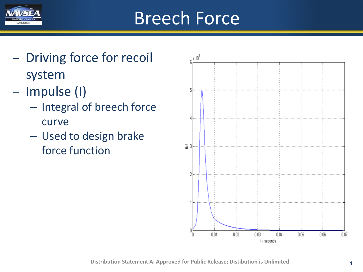

# Breech Force

- Driving force for recoil system
- ‒ Impulse (I)
	- Integral of breech force curve
	- Used to design brake force function

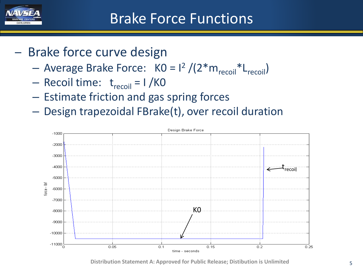

- Brake force curve design
	- Average Brake Force:  $K0 = 1^2 / (2 * m_{recoil} * L_{recoil})$
	- Recoil time:  $t_{recoil} = 1 / KO$
	- Estimate friction and gas spring forces
	- Design trapezoidal FBrake(t), over recoil duration



**Distribution Statement A: Approved for Public Release; Distibution is Unlimited** 5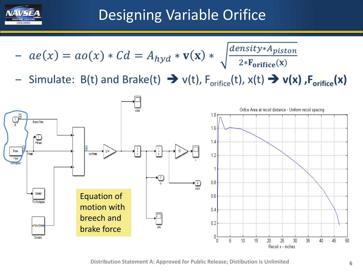

# Designing Variable Orifice

$$
- ae(x) = ao(x) * Cd = Ahyd * v(x) * \sqrt{\frac{density * Apiston}{2 * Forifice(x)}}
$$

Simulate: B(t) and Brake(t)  $\rightarrow v(t)$ , F<sub>orifice</sub>(t), x(t)  $\rightarrow v(x)$ , F<sub>orifice</sub>(x)

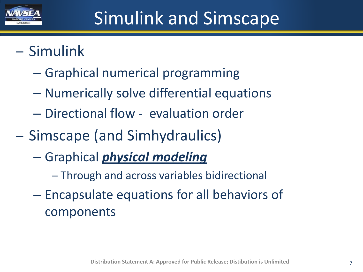

# Simulink and Simscape

## ‒ Simulink

- Graphical numerical programming
- Numerically solve differential equations
- Directional flow evaluation order
- ‒ Simscape (and Simhydraulics)
	- Graphical *physical modeling*
		- ‒ Through and across variables bidirectional
	- Encapsulate equations for all behaviors of components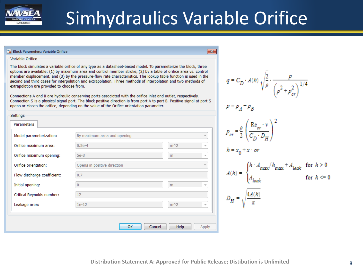

# Simhydraulics Variable Orifice

 $\overline{\mathbf{x}}$ 

#### <sup>6</sup> Block Parameters: Variable Orifice

#### Variable Orifice

Settings

The block simulates a variable orifice of any type as a datasheet-based model. To parameterize the block, tl options are available: (1) by maximum area and control member stroke, (2) by a table of orifice area vs. co member displacement, and (3) by the pressure-flow rate characteristics. The lookup table function is used i second and third cases for interpolation and extrapolation. Three methods of interpolation and two methods extrapolation are provided to choose from.

Connections A and B are hydraulic conserving ports associated with the orifice inlet and outlet, respectively. Connection S is a physical signal port. The block positive direction is from port A to port B. Positive signal at opens or closes the orifice, depending on the value of the Orifice orientation parameter.

| nree<br>ntrol<br>n the<br>; of<br>port S | $q = C_D \cdot A(h) \sqrt{\frac{2}{\rho}} \cdot \frac{p}{\left( \rho^2 + p_{cr}^2 \right)^{1/4}}$<br>$p = p_A - p_B$                                                                                                                                                                       |
|------------------------------------------|--------------------------------------------------------------------------------------------------------------------------------------------------------------------------------------------------------------------------------------------------------------------------------------------|
|                                          | $p_{cr} = \frac{\rho}{2} \left( \frac{\text{Re}_{cr} \cdot v}{C_D \cdot D_H} \right)^2$<br>$h = x_0 + x \cdot or$<br>$A(h) = \begin{cases} h \cdot A_{\max} / h_{\max} + A_{\textit{leak}} & \text{for } h > 0 \\ \\ A_{\textit{leak}} & \text{for } h <= 0 \end{cases}$<br>for $h \leq 0$ |
|                                          | $D_H = \sqrt{\frac{4A(h)}{\pi}}$                                                                                                                                                                                                                                                           |

| Parameters                  |                                                         |
|-----------------------------|---------------------------------------------------------|
| Model parameterization:     | By maximum area and opening<br>$\overline{\phantom{a}}$ |
| Orifice maximum area:       | $0.5e-4$<br>$m^2$<br>÷                                  |
| Orifice maximum opening:    | $5e-3$<br>m<br>÷                                        |
| Orifice orientation:        | Opens in positive direction<br>$\overline{\phantom{a}}$ |
| Flow discharge coefficient: | 0.7                                                     |
| Initial opening:            | $\bf{0}$<br>m<br>$\overline{\phantom{a}}$               |
| Critical Reynolds number:   | 12                                                      |
| Leakage area:               | $m^2$<br>$1e-12$<br>$\overline{\phantom{a}}$            |
|                             |                                                         |
|                             | OK<br>Cancel<br>Help<br>Apply                           |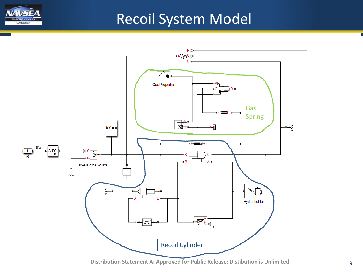

### Recoil System Model



**Distribution Statement A: Approved for Public Release; Distibution is Unlimited** 9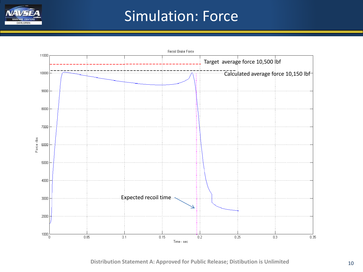

## Simulation: Force



**Distribution Statement A: Approved for Public Release; Distibution is Unlimited** 10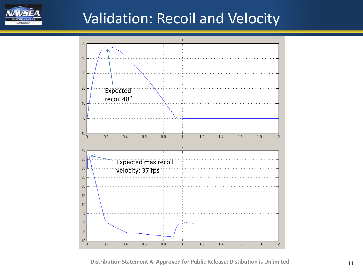

## Validation: Recoil and Velocity

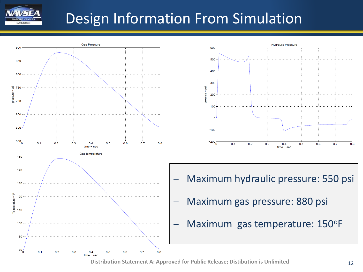

## Design Information From Simulation





- ‒ Maximum hydraulic pressure: 550 psi
- ‒ Maximum gas pressure: 880 psi
- Maximum gas temperature: 150°F

**Distribution Statement A: Approved for Public Release; Distibution is Unlimited** 12